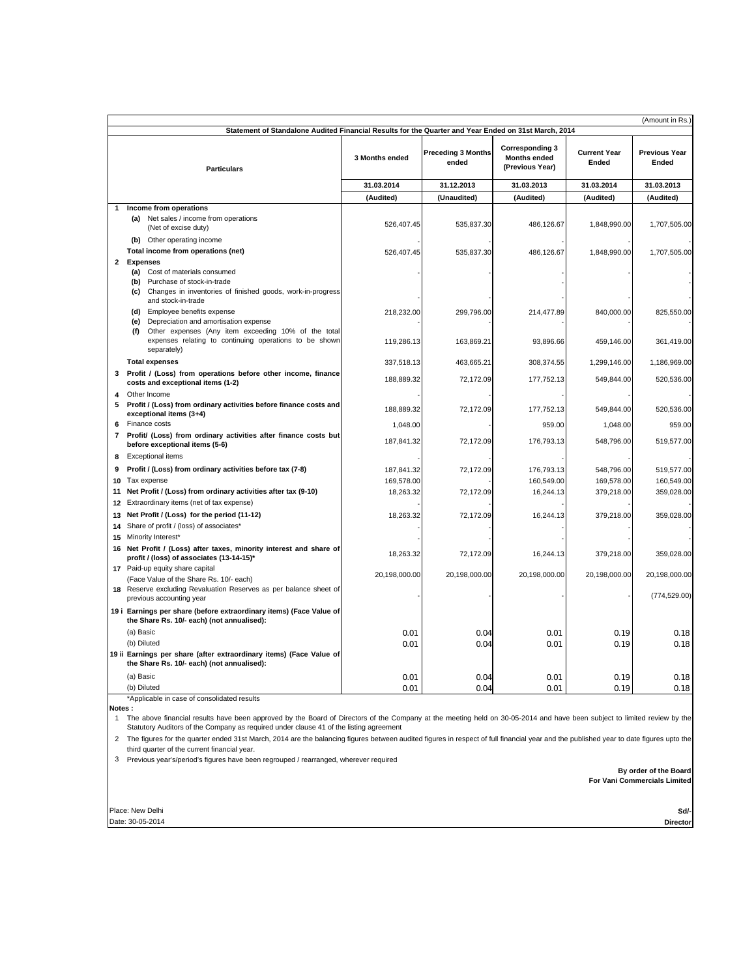|                                                                                                                            |                                                                                                                                                                                |                |                                                  |                                                                                |                                            | (Amount in Rs.)                             |
|----------------------------------------------------------------------------------------------------------------------------|--------------------------------------------------------------------------------------------------------------------------------------------------------------------------------|----------------|--------------------------------------------------|--------------------------------------------------------------------------------|--------------------------------------------|---------------------------------------------|
| Statement of Standalone Audited Financial Results for the Quarter and Year Ended on 31st March, 2014<br><b>Particulars</b> |                                                                                                                                                                                | 3 Months ended | <b>Preceding 3 Months</b><br>ended<br>31.12.2013 | <b>Corresponding 3</b><br><b>Months ended</b><br>(Previous Year)<br>31.03.2013 | <b>Current Year</b><br>Ended<br>31.03.2014 | <b>Previous Year</b><br>Ended<br>31.03.2013 |
|                                                                                                                            |                                                                                                                                                                                | 31.03.2014     |                                                  |                                                                                |                                            |                                             |
|                                                                                                                            |                                                                                                                                                                                | (Audited)      | (Unaudited)                                      | (Audited)                                                                      | (Audited)                                  | (Audited)                                   |
| 1                                                                                                                          | Income from operations                                                                                                                                                         |                |                                                  |                                                                                |                                            |                                             |
|                                                                                                                            | (a) Net sales / income from operations<br>(Net of excise duty)                                                                                                                 | 526.407.45     | 535,837.30                                       | 486,126.67                                                                     | 1,848,990.00                               | 1,707,505.00                                |
|                                                                                                                            | (b) Other operating income                                                                                                                                                     |                |                                                  |                                                                                |                                            |                                             |
|                                                                                                                            | Total income from operations (net)                                                                                                                                             | 526,407.45     | 535,837.30                                       | 486,126.67                                                                     | 1,848,990.00                               | 1,707,505.00                                |
| 2                                                                                                                          | <b>Expenses</b><br>(a) Cost of materials consumed<br>Purchase of stock-in-trade<br>(b)<br>(c) Changes in inventories of finished goods, work-in-progress<br>and stock-in-trade |                |                                                  |                                                                                |                                            |                                             |
|                                                                                                                            | (d) Employee benefits expense<br>(e) Depreciation and amortisation expense<br>Other expenses (Any item exceeding 10% of the total<br>(f)                                       | 218,232.00     | 299,796.00                                       | 214,477.89                                                                     | 840,000.00                                 | 825,550.00                                  |
|                                                                                                                            | expenses relating to continuing operations to be shown<br>separately)                                                                                                          | 119,286.13     | 163,869.21                                       | 93,896.66                                                                      | 459,146.00                                 | 361,419.00                                  |
|                                                                                                                            | <b>Total expenses</b>                                                                                                                                                          | 337,518.13     | 463,665.21                                       | 308,374.55                                                                     | 1,299,146.00                               | 1,186,969.00                                |
| 3                                                                                                                          | Profit / (Loss) from operations before other income, finance<br>costs and exceptional items (1-2)                                                                              | 188,889.32     | 72,172.09                                        | 177,752.13                                                                     | 549,844.00                                 | 520,536.00                                  |
| 4<br>5                                                                                                                     | Other Income<br>Profit / (Loss) from ordinary activities before finance costs and<br>exceptional items (3+4)                                                                   | 188,889.32     | 72,172.09                                        | 177,752.13                                                                     | 549,844.00                                 | 520,536.00                                  |
| 6                                                                                                                          | Finance costs                                                                                                                                                                  | 1,048.00       |                                                  | 959.00                                                                         | 1,048.00                                   | 959.00                                      |
| $\overline{\phantom{a}}$                                                                                                   | Profit/ (Loss) from ordinary activities after finance costs but<br>before exceptional items (5-6)                                                                              | 187,841.32     | 72,172.09                                        | 176,793.13                                                                     | 548,796.00                                 | 519,577.00                                  |
| 8                                                                                                                          | <b>Exceptional items</b>                                                                                                                                                       |                |                                                  |                                                                                |                                            |                                             |
| 9                                                                                                                          | Profit / (Loss) from ordinary activities before tax (7-8)                                                                                                                      | 187,841.32     | 72.172.09                                        | 176.793.13                                                                     | 548,796.00                                 | 519,577.00                                  |
|                                                                                                                            | 10 Tax expense                                                                                                                                                                 | 169,578.00     |                                                  | 160,549.00                                                                     | 169,578.00                                 | 160,549.00                                  |
|                                                                                                                            | 11 Net Profit / (Loss) from ordinary activities after tax (9-10)<br>12 Extraordinary items (net of tax expense)                                                                | 18,263.32      | 72,172.09                                        | 16,244.13                                                                      | 379,218.00                                 | 359,028.00                                  |
|                                                                                                                            | 13 Net Profit / (Loss) for the period (11-12)<br>14 Share of profit / (loss) of associates*<br>15 Minority Interest*                                                           | 18,263.32      | 72,172.09                                        | 16,244.13                                                                      | 379,218.00                                 | 359,028.00                                  |
|                                                                                                                            | 16 Net Profit / (Loss) after taxes, minority interest and share of<br>profit / (loss) of associates (13-14-15)*                                                                | 18,263.32      | 72,172.09                                        | 16,244.13                                                                      | 379,218.00                                 | 359,028.00                                  |
|                                                                                                                            | 17 Paid-up equity share capital<br>(Face Value of the Share Rs. 10/- each)                                                                                                     | 20,198,000.00  | 20,198,000.00                                    | 20,198,000.00                                                                  | 20,198,000.00                              | 20,198,000.00                               |
|                                                                                                                            | 18 Reserve excluding Revaluation Reserves as per balance sheet of<br>previous accounting year                                                                                  |                |                                                  |                                                                                |                                            | (774, 529.00)                               |
|                                                                                                                            | 19 i Earnings per share (before extraordinary items) (Face Value of<br>the Share Rs. 10/- each) (not annualised):                                                              |                |                                                  |                                                                                |                                            |                                             |
|                                                                                                                            | (a) Basic                                                                                                                                                                      | 0.01           | 0.04                                             | 0.01                                                                           | 0.19                                       | 0.18                                        |
|                                                                                                                            | (b) Diluted                                                                                                                                                                    | 0.01           | 0.04                                             | 0.01                                                                           | 0.19                                       | 0.18                                        |
|                                                                                                                            | 19 ii Earnings per share (after extraordinary items) (Face Value of<br>the Share Rs. 10/- each) (not annualised):                                                              |                |                                                  |                                                                                |                                            |                                             |
|                                                                                                                            | (a) Basic                                                                                                                                                                      | 0.01           | 0.04                                             | 0.01                                                                           | 0.19                                       | 0.18                                        |
|                                                                                                                            | (b) Diluted                                                                                                                                                                    | 0.01           | 0.04                                             | 0.01                                                                           | 0.19                                       | 0.18                                        |
| Notes:                                                                                                                     | *Applicable in case of consolidated results                                                                                                                                    |                |                                                  |                                                                                |                                            |                                             |

1 The above financial results have been approved by the Board of Directors of the Company at the meeting held on 30-05-2014 and have been subject to limited review by the<br>Statutory Auditors of the Company as required under

2 The figures for the quarter ended 31st March, 2014 are the balancing figures between audited figures in respect of full financial year and the published year to date figures upto the third quarter of the current financial year.

3 Previous year's/period's figures have been regrouped / rearranged, wherever required

 **For Vani Commercials Limited By order of the Board**

Date: 30-05-2014 Place: New Delhi **Sd/-**

**Director**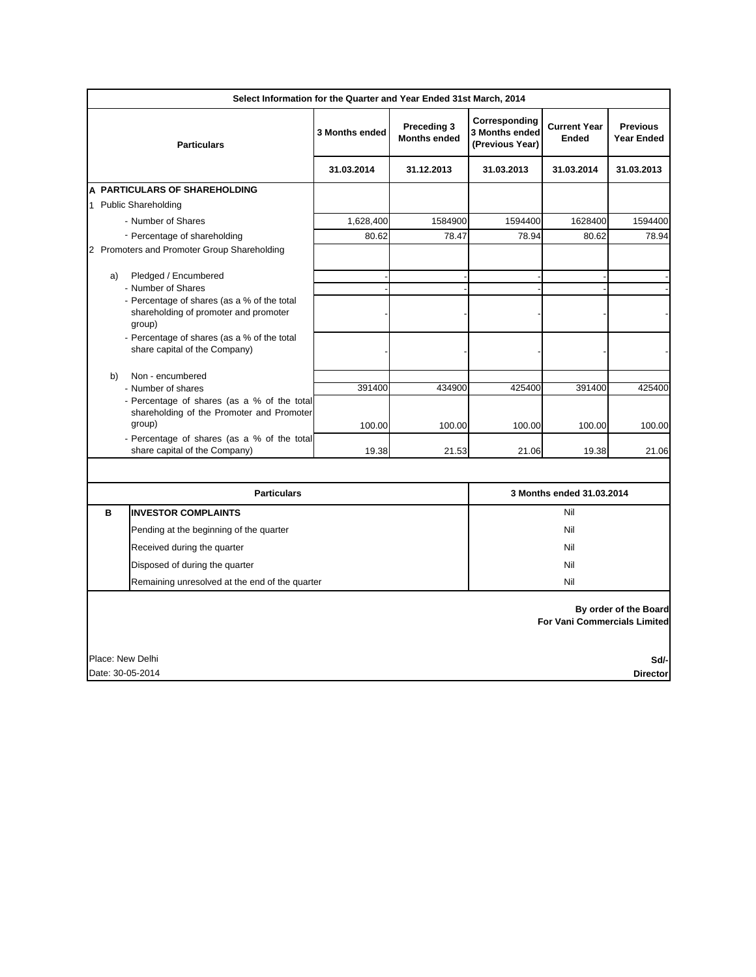| Select Information for the Quarter and Year Ended 31st March, 2014                             |                                                              |                                    |                                                    |                                     |                                      |  |
|------------------------------------------------------------------------------------------------|--------------------------------------------------------------|------------------------------------|----------------------------------------------------|-------------------------------------|--------------------------------------|--|
| <b>Particulars</b>                                                                             | 3 Months ended                                               | Preceding 3<br><b>Months ended</b> | Corresponding<br>3 Months ended<br>(Previous Year) | <b>Current Year</b><br><b>Ended</b> | <b>Previous</b><br><b>Year Ended</b> |  |
|                                                                                                | 31.03.2014                                                   | 31.12.2013                         | 31.03.2013                                         | 31.03.2014                          | 31.03.2013                           |  |
| A PARTICULARS OF SHAREHOLDING                                                                  |                                                              |                                    |                                                    |                                     |                                      |  |
| 1 Public Shareholding                                                                          |                                                              |                                    |                                                    |                                     |                                      |  |
| - Number of Shares                                                                             | 1,628,400                                                    | 1584900                            | 1594400                                            | 1628400                             | 1594400                              |  |
| - Percentage of shareholding                                                                   | 80.62                                                        | 78.47                              | 78.94                                              | 80.62                               | 78.94                                |  |
| 2 Promoters and Promoter Group Shareholding                                                    |                                                              |                                    |                                                    |                                     |                                      |  |
| Pledged / Encumbered<br>a)                                                                     |                                                              |                                    |                                                    |                                     |                                      |  |
| - Number of Shares                                                                             |                                                              |                                    |                                                    |                                     |                                      |  |
| - Percentage of shares (as a % of the total<br>shareholding of promoter and promoter<br>group) |                                                              |                                    |                                                    |                                     |                                      |  |
| - Percentage of shares (as a % of the total<br>share capital of the Company)                   |                                                              |                                    |                                                    |                                     |                                      |  |
| Non - encumbered<br>b)                                                                         |                                                              |                                    |                                                    |                                     |                                      |  |
| - Number of shares                                                                             | 391400                                                       | 434900                             | 425400                                             | 391400                              | 425400                               |  |
| - Percentage of shares (as a % of the total<br>shareholding of the Promoter and Promoter       |                                                              |                                    |                                                    |                                     |                                      |  |
| group)                                                                                         | 100.00                                                       | 100.00                             | 100.00                                             | 100.00                              | 100.00                               |  |
| - Percentage of shares (as a % of the total                                                    |                                                              |                                    |                                                    |                                     |                                      |  |
| share capital of the Company)                                                                  | 19.38                                                        | 21.53                              | 21.06                                              | 19.38                               | 21.06                                |  |
|                                                                                                |                                                              |                                    |                                                    |                                     |                                      |  |
| <b>Particulars</b>                                                                             |                                                              |                                    | 3 Months ended 31.03.2014                          |                                     |                                      |  |
| в<br><b>INVESTOR COMPLAINTS</b>                                                                | Nil<br>Nil<br>Nil<br>Nil<br>Nil                              |                                    |                                                    |                                     |                                      |  |
| Pending at the beginning of the quarter                                                        |                                                              |                                    |                                                    |                                     |                                      |  |
| Received during the quarter                                                                    |                                                              |                                    |                                                    |                                     |                                      |  |
| Disposed of during the quarter                                                                 |                                                              |                                    |                                                    |                                     |                                      |  |
| Remaining unresolved at the end of the quarter                                                 |                                                              |                                    |                                                    |                                     |                                      |  |
|                                                                                                | By order of the Board<br><b>For Vani Commercials Limited</b> |                                    |                                                    |                                     |                                      |  |
| Place: New Delhi<br>Sd/-                                                                       |                                                              |                                    |                                                    |                                     |                                      |  |
| Date: 30-05-2014<br><b>Director</b>                                                            |                                                              |                                    |                                                    |                                     |                                      |  |